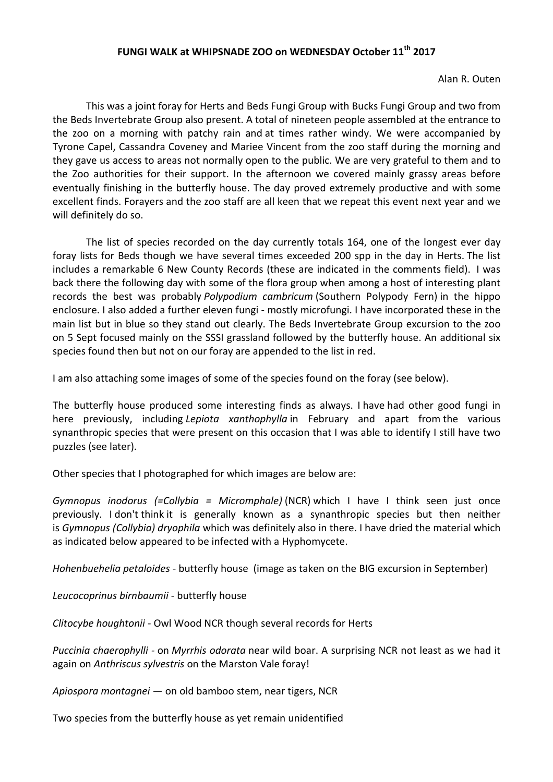## **FUNGI WALK at WHIPSNADE ZOO on WEDNESDAY October 11th 2017**

Alan R. Outen

 This was a joint foray for Herts and Beds Fungi Group with Bucks Fungi Group and two from the Beds Invertebrate Group also present. A total of nineteen people assembled at the entrance to the zoo on a morning with patchy rain and at times rather windy. We were accompanied by Tyrone Capel, Cassandra Coveney and Mariee Vincent from the zoo staff during the morning and they gave us access to areas not normally open to the public. We are very grateful to them and to the Zoo authorities for their support. In the afternoon we covered mainly grassy areas before eventually finishing in the butterfly house. The day proved extremely productive and with some excellent finds. Forayers and the zoo staff are all keen that we repeat this event next year and we will definitely do so.

The list of species recorded on the day currently totals 164, one of the longest ever day foray lists for Beds though we have several times exceeded 200 spp in the day in Herts. The list includes a remarkable 6 New County Records (these are indicated in the comments field). I was back there the following day with some of the flora group when among a host of interesting plant records the best was probably *Polypodium cambricum* (Southern Polypody Fern) in the hippo enclosure. I also added a further eleven fungi - mostly microfungi. I have incorporated these in the main list but in blue so they stand out clearly. The Beds Invertebrate Group excursion to the zoo on 5 Sept focused mainly on the SSSI grassland followed by the butterfly house. An additional six species found then but not on our foray are appended to the list in red.

I am also attaching some images of some of the species found on the foray (see below).

The butterfly house produced some interesting finds as always. I have had other good fungi in here previously, including *Lepiota xanthophylla* in February and apart from the various synanthropic species that were present on this occasion that I was able to identify I still have two puzzles (see later).

Other species that I photographed for which images are below are:

*Gymnopus inodorus (=Collybia = Micromphale)* (NCR) which I have I think seen just once previously. I don't think it is generally known as a synanthropic species but then neither is *Gymnopus (Collybia) dryophila* which was definitely also in there. I have dried the material which as indicated below appeared to be infected with a Hyphomycete.

*Hohenbuehelia petaloides -* butterfly house (image as taken on the BIG excursion in September)

*Leucocoprinus birnbaumii -* butterfly house

*Clitocybe houghtonii* - Owl Wood NCR though several records for Herts

*Puccinia chaerophylli -* on *Myrrhis odorata* near wild boar. A surprising NCR not least as we had it again on *Anthriscus sylvestris* on the Marston Vale foray!

*Apiospora montagnei —* on old bamboo stem, near tigers, NCR

Two species from the butterfly house as yet remain unidentified